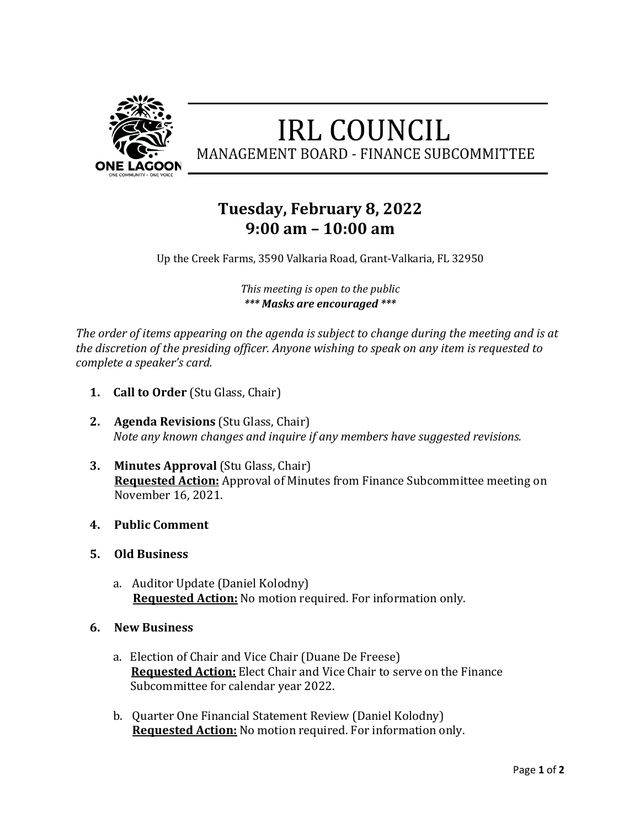

## **IRL COUNCIL** MANAGEMENT BOARD - FINANCE SUBCOMMITTEE

## **Tuesday, February 8, 2022 9:00 am – 10:00 am**

Up the Creek Farms, 3590 Valkaria Road, Grant-Valkaria, FL 32950

*This meeting is open to the public \*\*\* Masks are encouraged \*\*\**

The order of items appearing on the agenda is subject to change during the meeting and is at the discretion of the presiding officer. Anyone wishing to speak on any item is requested to *complete a speaker's card.* 

- **1. Call to Order** (Stu Glass, Chair)
- **2. Agenda Revisions** (Stu Glass, Chair) *Note any known changes and inquire if any members have suggested revisions.*
- **3. Minutes Approval** (Stu Glass, Chair) **Requested Action:** Approval of Minutes from Finance Subcommittee meeting on November 16, 2021.
- **4. Public Comment**
- **5. Old Business**
	- a. Auditor Update (Daniel Kolodny) **Requested Action:** No motion required. For information only.
- **6. New Business**
	- a. Election of Chair and Vice Chair (Duane De Freese) **Requested Action:** Elect Chair and Vice Chair to serve on the Finance Subcommittee for calendar year 2022.
	- b. Quarter One Financial Statement Review (Daniel Kolodny) **Requested Action:** No motion required. For information only.